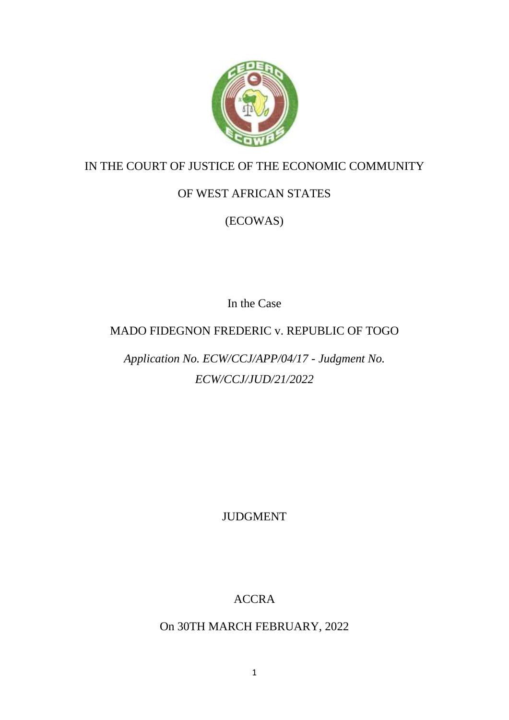

# IN THE COURT OF JUSTICE OF THE ECONOMIC COMMUNITY

# OF WEST AFRICAN STATES

# (ECOWAS)

In the Case

## MADO FIDEGNON FREDERIC v. REPUBLIC OF TOGO

# *Application No. ECW/CCJ/APP/04/17 - Judgment No. ECW/CCJ/JUD/21/2022*

JUDGMENT

# ACCRA

## On 30TH MARCH FEBRUARY, 2022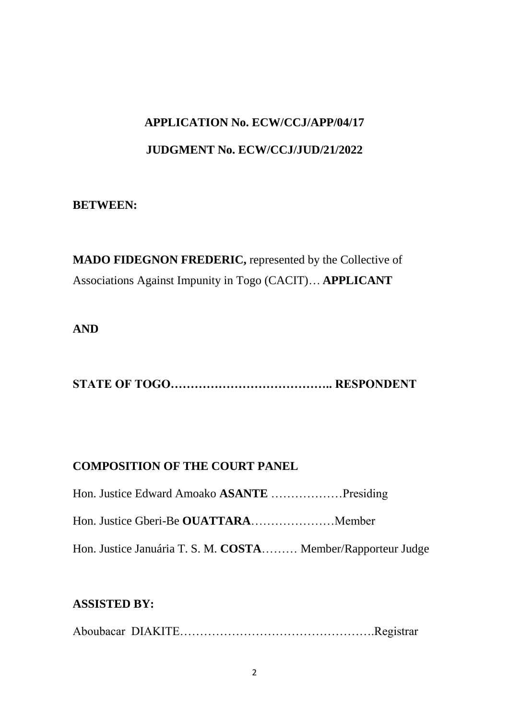# **APPLICATION No. ECW/CCJ/APP/04/17 JUDGMENT No. ECW/CCJ/JUD/21/2022**

## **BETWEEN:**

**MADO FIDEGNON FREDERIC,** represented by the Collective of Associations Against Impunity in Togo (CACIT)… **APPLICANT**

## **AND**

**STATE OF TOGO………………………………….. RESPONDENT**

## **COMPOSITION OF THE COURT PANEL**

| Hon. Justice Edward Amoako ASANTE Presiding                  |  |
|--------------------------------------------------------------|--|
|                                                              |  |
| Hon. Justice Januária T. S. M. COSTA Member/Rapporteur Judge |  |

## **ASSISTED BY:**

Aboubacar DIAKITE………………………………………….Registrar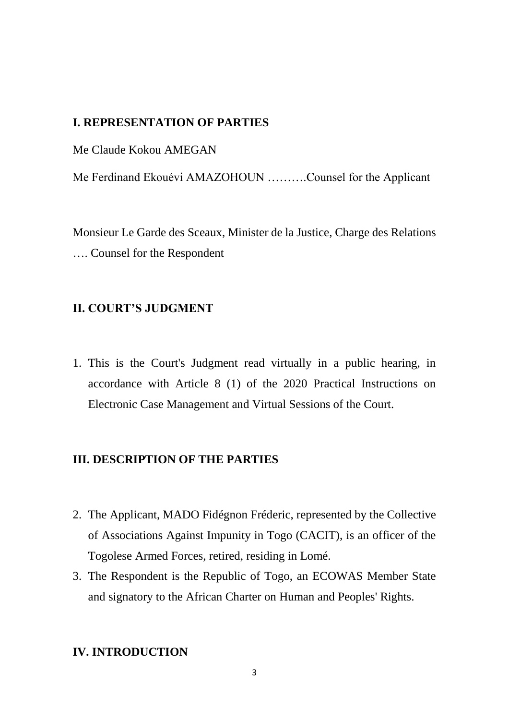#### **I. REPRESENTATION OF PARTIES**

Me Claude Kokou AMEGAN

Me Ferdinand Ekouévi AMAZOHOUN ……….Counsel for the Applicant

Monsieur Le Garde des Sceaux, Minister de la Justice, Charge des Relations …. Counsel for the Respondent

#### **II. COURT'S JUDGMENT**

1. This is the Court's Judgment read virtually in a public hearing, in accordance with Article 8 (1) of the 2020 Practical Instructions on Electronic Case Management and Virtual Sessions of the Court.

#### **III. DESCRIPTION OF THE PARTIES**

- 2. The Applicant, MADO Fidégnon Fréderic, represented by the Collective of Associations Against Impunity in Togo (CACIT), is an officer of the Togolese Armed Forces, retired, residing in Lomé.
- 3. The Respondent is the Republic of Togo, an ECOWAS Member State and signatory to the African Charter on Human and Peoples' Rights.

#### **IV. INTRODUCTION**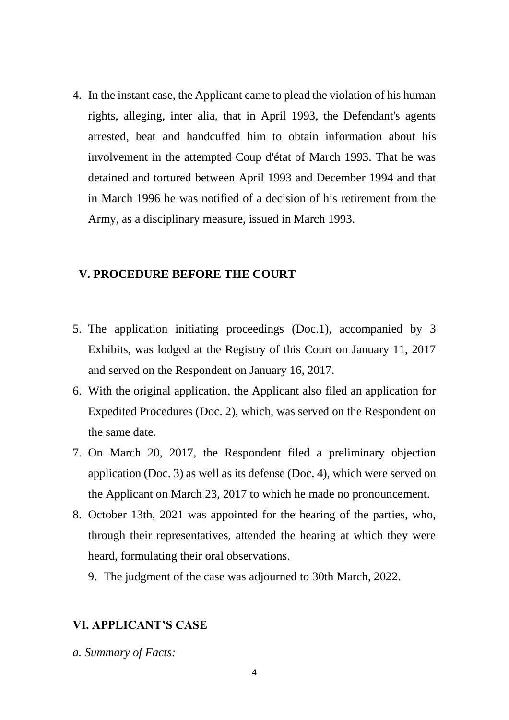4. In the instant case, the Applicant came to plead the violation of his human rights, alleging, inter alia, that in April 1993, the Defendant's agents arrested, beat and handcuffed him to obtain information about his involvement in the attempted Coup d'état of March 1993. That he was detained and tortured between April 1993 and December 1994 and that in March 1996 he was notified of a decision of his retirement from the Army, as a disciplinary measure, issued in March 1993.

#### **V. PROCEDURE BEFORE THE COURT**

- 5. The application initiating proceedings (Doc.1), accompanied by 3 Exhibits, was lodged at the Registry of this Court on January 11, 2017 and served on the Respondent on January 16, 2017.
- 6. With the original application, the Applicant also filed an application for Expedited Procedures (Doc. 2), which, was served on the Respondent on the same date.
- 7. On March 20, 2017, the Respondent filed a preliminary objection application (Doc. 3) as well as its defense (Doc. 4), which were served on the Applicant on March 23, 2017 to which he made no pronouncement.
- 8. October 13th, 2021 was appointed for the hearing of the parties, who, through their representatives, attended the hearing at which they were heard, formulating their oral observations.
	- 9. The judgment of the case was adjourned to 30th March, 2022.

#### **VI. APPLICANT'S CASE**

*a. Summary of Facts:*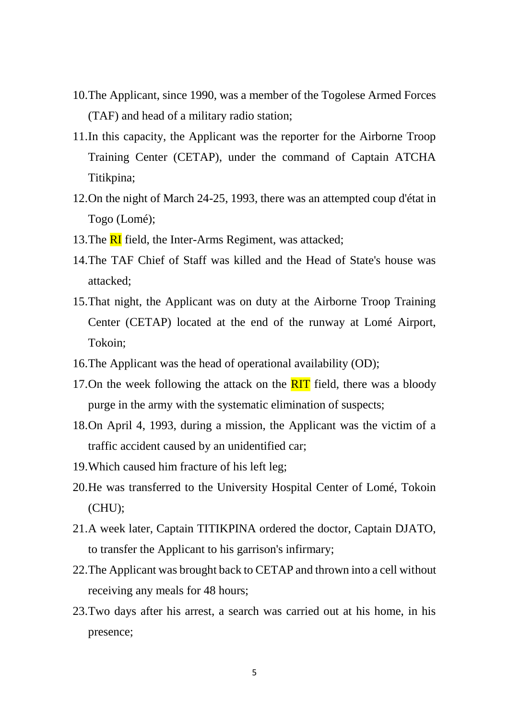- 10.The Applicant, since 1990, was a member of the Togolese Armed Forces (TAF) and head of a military radio station;
- 11.In this capacity, the Applicant was the reporter for the Airborne Troop Training Center (CETAP), under the command of Captain ATCHA Titikpina;
- 12.On the night of March 24-25, 1993, there was an attempted coup d'état in Togo (Lomé);
- 13. The **RI** field, the Inter-Arms Regiment, was attacked;
- 14.The TAF Chief of Staff was killed and the Head of State's house was attacked;
- 15.That night, the Applicant was on duty at the Airborne Troop Training Center (CETAP) located at the end of the runway at Lomé Airport, Tokoin;
- 16.The Applicant was the head of operational availability (OD);
- 17.On the week following the attack on the  $\overline{RIT}$  field, there was a bloody purge in the army with the systematic elimination of suspects;
- 18.On April 4, 1993, during a mission, the Applicant was the victim of a traffic accident caused by an unidentified car;
- 19.Which caused him fracture of his left leg;
- 20.He was transferred to the University Hospital Center of Lomé, Tokoin  $(CHU)$ ;
- 21.A week later, Captain TITIKPINA ordered the doctor, Captain DJATO, to transfer the Applicant to his garrison's infirmary;
- 22.The Applicant was brought back to CETAP and thrown into a cell without receiving any meals for 48 hours;
- 23.Two days after his arrest, a search was carried out at his home, in his presence;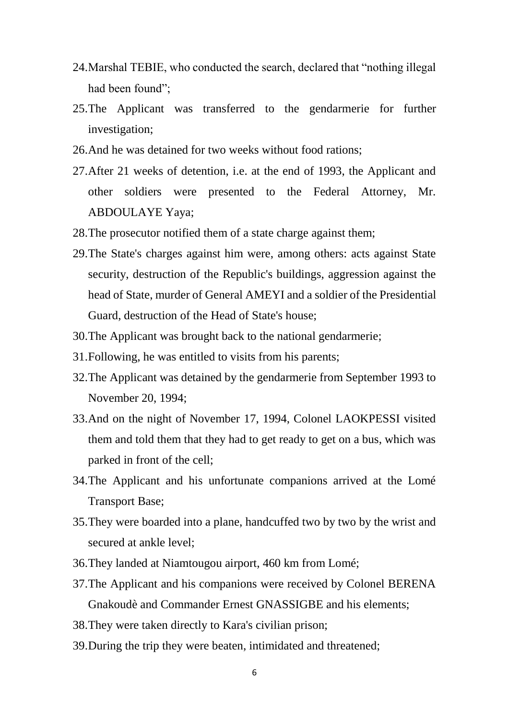- 24.Marshal TEBIE, who conducted the search, declared that "nothing illegal had been found":
- 25.The Applicant was transferred to the gendarmerie for further investigation;
- 26.And he was detained for two weeks without food rations;
- 27.After 21 weeks of detention, i.e. at the end of 1993, the Applicant and other soldiers were presented to the Federal Attorney, Mr. ABDOULAYE Yaya;
- 28.The prosecutor notified them of a state charge against them;
- 29.The State's charges against him were, among others: acts against State security, destruction of the Republic's buildings, aggression against the head of State, murder of General AMEYI and a soldier of the Presidential Guard, destruction of the Head of State's house;
- 30.The Applicant was brought back to the national gendarmerie;
- 31.Following, he was entitled to visits from his parents;
- 32.The Applicant was detained by the gendarmerie from September 1993 to November 20, 1994;
- 33.And on the night of November 17, 1994, Colonel LAOKPESSI visited them and told them that they had to get ready to get on a bus, which was parked in front of the cell;
- 34.The Applicant and his unfortunate companions arrived at the Lomé Transport Base;
- 35.They were boarded into a plane, handcuffed two by two by the wrist and secured at ankle level;
- 36.They landed at Niamtougou airport, 460 km from Lomé;
- 37.The Applicant and his companions were received by Colonel BERENA Gnakoudè and Commander Ernest GNASSIGBE and his elements;
- 38.They were taken directly to Kara's civilian prison;
- 39.During the trip they were beaten, intimidated and threatened;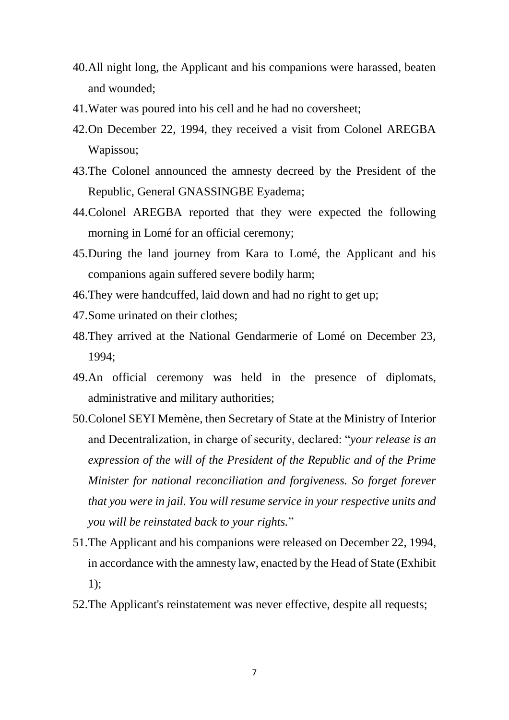- 40.All night long, the Applicant and his companions were harassed, beaten and wounded;
- 41.Water was poured into his cell and he had no coversheet;
- 42.On December 22, 1994, they received a visit from Colonel AREGBA Wapissou;
- 43.The Colonel announced the amnesty decreed by the President of the Republic, General GNASSINGBE Eyadema;
- 44.Colonel AREGBA reported that they were expected the following morning in Lomé for an official ceremony;
- 45.During the land journey from Kara to Lomé, the Applicant and his companions again suffered severe bodily harm;
- 46.They were handcuffed, laid down and had no right to get up;
- 47.Some urinated on their clothes;
- 48.They arrived at the National Gendarmerie of Lomé on December 23, 1994;
- 49.An official ceremony was held in the presence of diplomats, administrative and military authorities;
- 50.Colonel SEYI Memène, then Secretary of State at the Ministry of Interior and Decentralization, in charge of security, declared: "*your release is an expression of the will of the President of the Republic and of the Prime Minister for national reconciliation and forgiveness. So forget forever that you were in jail. You will resume service in your respective units and you will be reinstated back to your rights.*"
- 51.The Applicant and his companions were released on December 22, 1994, in accordance with the amnesty law, enacted by the Head of State (Exhibit 1);
- 52.The Applicant's reinstatement was never effective, despite all requests;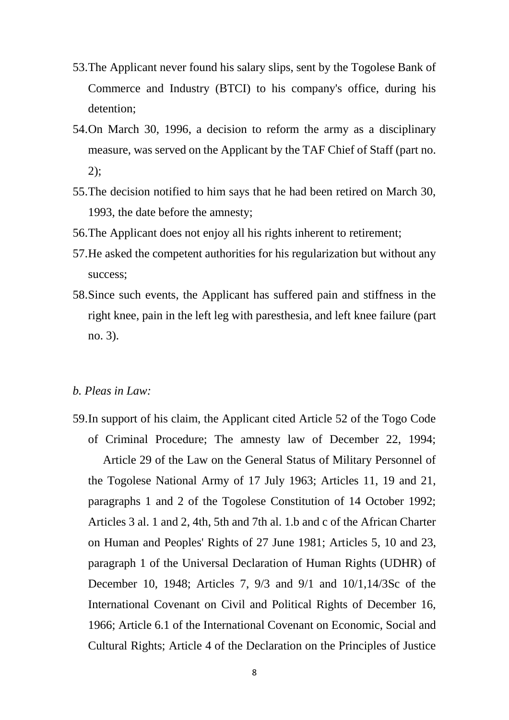- 53.The Applicant never found his salary slips, sent by the Togolese Bank of Commerce and Industry (BTCI) to his company's office, during his detention;
- 54.On March 30, 1996, a decision to reform the army as a disciplinary measure, was served on the Applicant by the TAF Chief of Staff (part no. 2);
- 55.The decision notified to him says that he had been retired on March 30, 1993, the date before the amnesty;
- 56.The Applicant does not enjoy all his rights inherent to retirement;
- 57.He asked the competent authorities for his regularization but without any success;
- 58.Since such events, the Applicant has suffered pain and stiffness in the right knee, pain in the left leg with paresthesia, and left knee failure (part no. 3).

#### *b. Pleas in Law:*

59.In support of his claim, the Applicant cited Article 52 of the Togo Code of Criminal Procedure; The amnesty law of December 22, 1994; Article 29 of the Law on the General Status of Military Personnel of the Togolese National Army of 17 July 1963; Articles 11, 19 and 21, paragraphs 1 and 2 of the Togolese Constitution of 14 October 1992; Articles 3 al. 1 and 2, 4th, 5th and 7th al. 1.b and c of the African Charter on Human and Peoples' Rights of 27 June 1981; Articles 5, 10 and 23, paragraph 1 of the Universal Declaration of Human Rights (UDHR) of December 10, 1948; Articles 7, 9/3 and 9/1 and 10/1,14/3Sc of the International Covenant on Civil and Political Rights of December 16, 1966; Article 6.1 of the International Covenant on Economic, Social and Cultural Rights; Article 4 of the Declaration on the Principles of Justice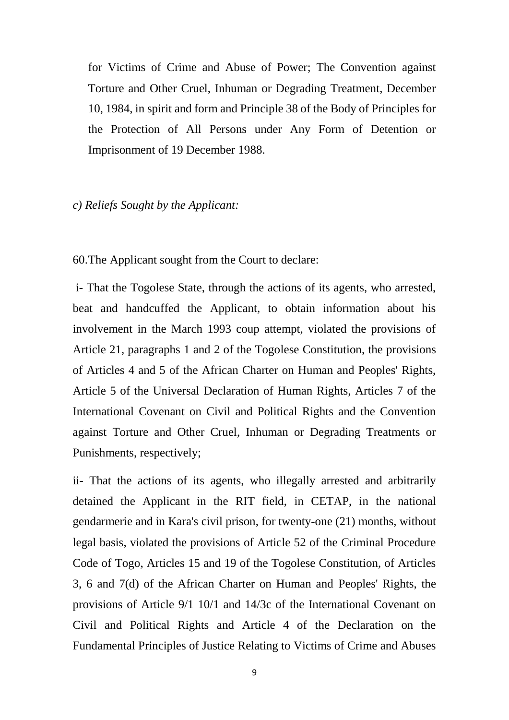for Victims of Crime and Abuse of Power; The Convention against Torture and Other Cruel, Inhuman or Degrading Treatment, December 10, 1984, in spirit and form and Principle 38 of the Body of Principles for the Protection of All Persons under Any Form of Detention or Imprisonment of 19 December 1988.

#### *c) Reliefs Sought by the Applicant:*

60.The Applicant sought from the Court to declare:

i- That the Togolese State, through the actions of its agents, who arrested, beat and handcuffed the Applicant, to obtain information about his involvement in the March 1993 coup attempt, violated the provisions of Article 21, paragraphs 1 and 2 of the Togolese Constitution, the provisions of Articles 4 and 5 of the African Charter on Human and Peoples' Rights, Article 5 of the Universal Declaration of Human Rights, Articles 7 of the International Covenant on Civil and Political Rights and the Convention against Torture and Other Cruel, Inhuman or Degrading Treatments or Punishments, respectively;

ii- That the actions of its agents, who illegally arrested and arbitrarily detained the Applicant in the RIT field, in CETAP, in the national gendarmerie and in Kara's civil prison, for twenty-one (21) months, without legal basis, violated the provisions of Article 52 of the Criminal Procedure Code of Togo, Articles 15 and 19 of the Togolese Constitution, of Articles 3, 6 and 7(d) of the African Charter on Human and Peoples' Rights, the provisions of Article 9/1 10/1 and 14/3c of the International Covenant on Civil and Political Rights and Article 4 of the Declaration on the Fundamental Principles of Justice Relating to Victims of Crime and Abuses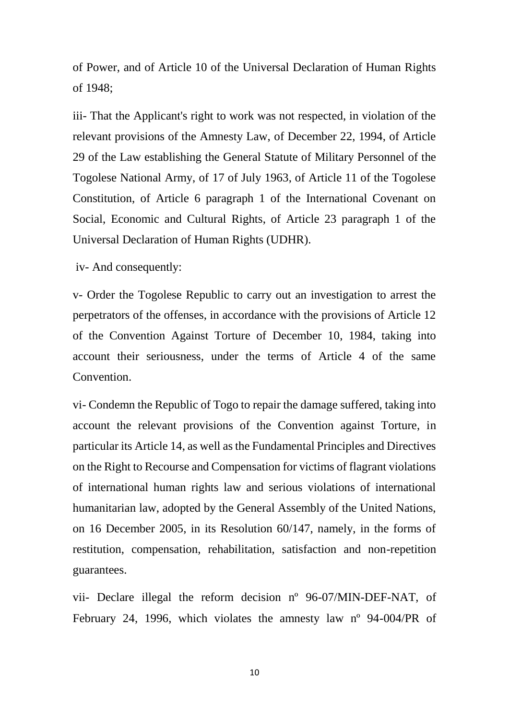of Power, and of Article 10 of the Universal Declaration of Human Rights of 1948;

iii- That the Applicant's right to work was not respected, in violation of the relevant provisions of the Amnesty Law, of December 22, 1994, of Article 29 of the Law establishing the General Statute of Military Personnel of the Togolese National Army, of 17 of July 1963, of Article 11 of the Togolese Constitution, of Article 6 paragraph 1 of the International Covenant on Social, Economic and Cultural Rights, of Article 23 paragraph 1 of the Universal Declaration of Human Rights (UDHR).

iv- And consequently:

v- Order the Togolese Republic to carry out an investigation to arrest the perpetrators of the offenses, in accordance with the provisions of Article 12 of the Convention Against Torture of December 10, 1984, taking into account their seriousness, under the terms of Article 4 of the same Convention.

vi- Condemn the Republic of Togo to repair the damage suffered, taking into account the relevant provisions of the Convention against Torture, in particular its Article 14, as well as the Fundamental Principles and Directives on the Right to Recourse and Compensation for victims of flagrant violations of international human rights law and serious violations of international humanitarian law, adopted by the General Assembly of the United Nations, on 16 December 2005, in its Resolution 60/147, namely, in the forms of restitution, compensation, rehabilitation, satisfaction and non-repetition guarantees.

vii- Declare illegal the reform decision nº 96-07/MIN-DEF-NAT, of February 24, 1996, which violates the amnesty law nº 94-004/PR of

10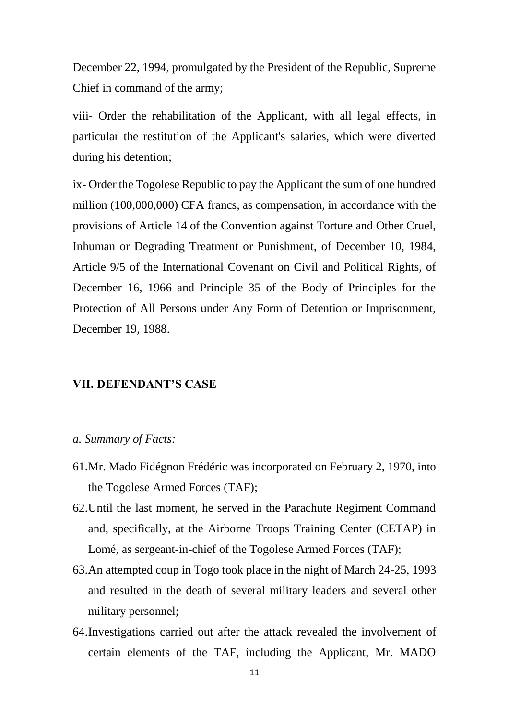December 22, 1994, promulgated by the President of the Republic, Supreme Chief in command of the army;

viii- Order the rehabilitation of the Applicant, with all legal effects, in particular the restitution of the Applicant's salaries, which were diverted during his detention;

ix- Order the Togolese Republic to pay the Applicant the sum of one hundred million (100,000,000) CFA francs, as compensation, in accordance with the provisions of Article 14 of the Convention against Torture and Other Cruel, Inhuman or Degrading Treatment or Punishment, of December 10, 1984, Article 9/5 of the International Covenant on Civil and Political Rights, of December 16, 1966 and Principle 35 of the Body of Principles for the Protection of All Persons under Any Form of Detention or Imprisonment, December 19, 1988.

#### **VII. DEFENDANT'S CASE**

#### *a. Summary of Facts:*

- 61.Mr. Mado Fidégnon Frédéric was incorporated on February 2, 1970, into the Togolese Armed Forces (TAF);
- 62.Until the last moment, he served in the Parachute Regiment Command and, specifically, at the Airborne Troops Training Center (CETAP) in Lomé, as sergeant-in-chief of the Togolese Armed Forces (TAF);
- 63.An attempted coup in Togo took place in the night of March 24-25, 1993 and resulted in the death of several military leaders and several other military personnel;
- 64.Investigations carried out after the attack revealed the involvement of certain elements of the TAF, including the Applicant, Mr. MADO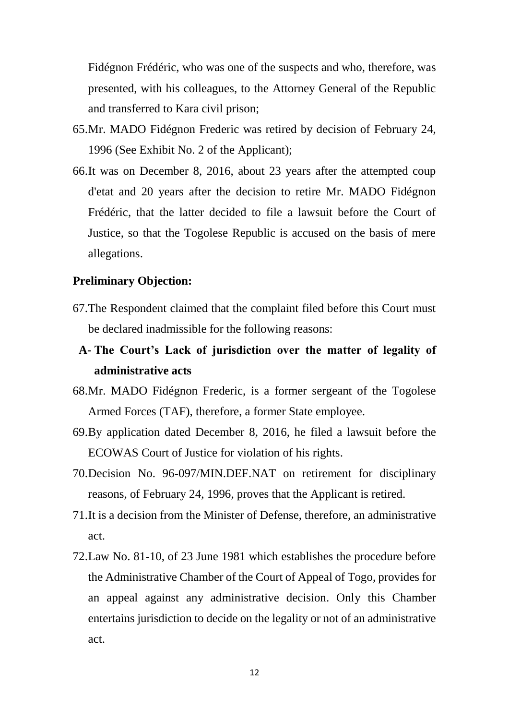Fidégnon Frédéric, who was one of the suspects and who, therefore, was presented, with his colleagues, to the Attorney General of the Republic and transferred to Kara civil prison;

- 65.Mr. MADO Fidégnon Frederic was retired by decision of February 24, 1996 (See Exhibit No. 2 of the Applicant);
- 66.It was on December 8, 2016, about 23 years after the attempted coup d'etat and 20 years after the decision to retire Mr. MADO Fidégnon Frédéric, that the latter decided to file a lawsuit before the Court of Justice, so that the Togolese Republic is accused on the basis of mere allegations.

#### **Preliminary Objection:**

- 67.The Respondent claimed that the complaint filed before this Court must be declared inadmissible for the following reasons:
- **A- The Court's Lack of jurisdiction over the matter of legality of administrative acts**
- 68.Mr. MADO Fidégnon Frederic, is a former sergeant of the Togolese Armed Forces (TAF), therefore, a former State employee.
- 69.By application dated December 8, 2016, he filed a lawsuit before the ECOWAS Court of Justice for violation of his rights.
- 70.Decision No. 96-097/MIN.DEF.NAT on retirement for disciplinary reasons, of February 24, 1996, proves that the Applicant is retired.
- 71.It is a decision from the Minister of Defense, therefore, an administrative act.
- 72.Law No. 81-10, of 23 June 1981 which establishes the procedure before the Administrative Chamber of the Court of Appeal of Togo, provides for an appeal against any administrative decision. Only this Chamber entertains jurisdiction to decide on the legality or not of an administrative act.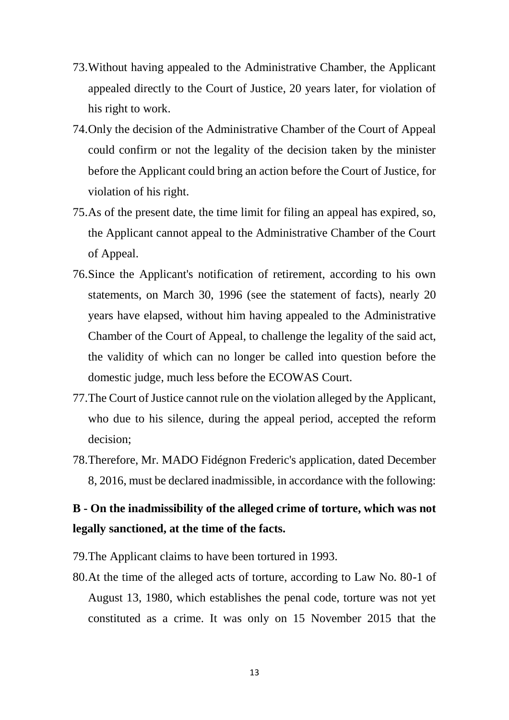- 73.Without having appealed to the Administrative Chamber, the Applicant appealed directly to the Court of Justice, 20 years later, for violation of his right to work.
- 74.Only the decision of the Administrative Chamber of the Court of Appeal could confirm or not the legality of the decision taken by the minister before the Applicant could bring an action before the Court of Justice, for violation of his right.
- 75.As of the present date, the time limit for filing an appeal has expired, so, the Applicant cannot appeal to the Administrative Chamber of the Court of Appeal.
- 76.Since the Applicant's notification of retirement, according to his own statements, on March 30, 1996 (see the statement of facts), nearly 20 years have elapsed, without him having appealed to the Administrative Chamber of the Court of Appeal, to challenge the legality of the said act, the validity of which can no longer be called into question before the domestic judge, much less before the ECOWAS Court.
- 77.The Court of Justice cannot rule on the violation alleged by the Applicant, who due to his silence, during the appeal period, accepted the reform decision;
- 78.Therefore, Mr. MADO Fidégnon Frederic's application, dated December 8, 2016, must be declared inadmissible, in accordance with the following:

# **B - On the inadmissibility of the alleged crime of torture, which was not legally sanctioned, at the time of the facts.**

- 79.The Applicant claims to have been tortured in 1993.
- 80.At the time of the alleged acts of torture, according to Law No. 80-1 of August 13, 1980, which establishes the penal code, torture was not yet constituted as a crime. It was only on 15 November 2015 that the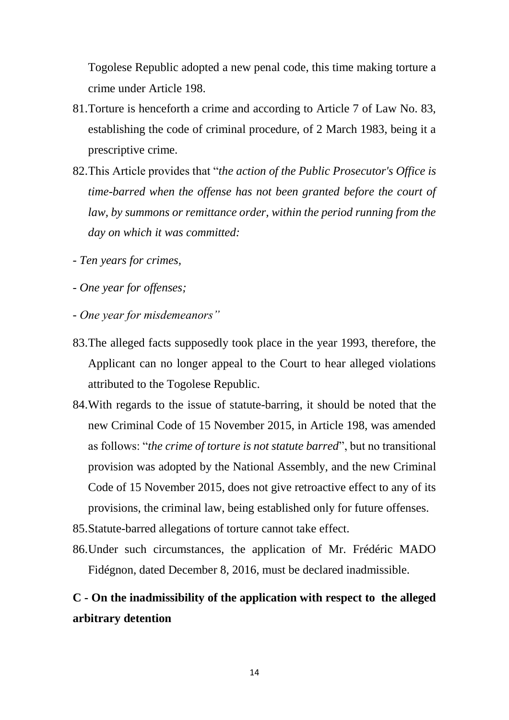Togolese Republic adopted a new penal code, this time making torture a crime under Article 198.

- 81.Torture is henceforth a crime and according to Article 7 of Law No. 83, establishing the code of criminal procedure, of 2 March 1983, being it a prescriptive crime.
- 82.This Article provides that "*the action of the Public Prosecutor's Office is time-barred when the offense has not been granted before the court of law, by summons or remittance order, within the period running from the day on which it was committed:*
- *- Ten years for crimes,*
- *- One year for offenses;*
- *- One year for misdemeanors"*
- 83.The alleged facts supposedly took place in the year 1993, therefore, the Applicant can no longer appeal to the Court to hear alleged violations attributed to the Togolese Republic.
- 84.With regards to the issue of statute-barring, it should be noted that the new Criminal Code of 15 November 2015, in Article 198, was amended as follows: "*the crime of torture is not statute barred*", but no transitional provision was adopted by the National Assembly, and the new Criminal Code of 15 November 2015, does not give retroactive effect to any of its provisions, the criminal law, being established only for future offenses.
- 85.Statute-barred allegations of torture cannot take effect.
- 86.Under such circumstances, the application of Mr. Frédéric MADO Fidégnon, dated December 8, 2016, must be declared inadmissible.

# **C - On the inadmissibility of the application with respect to the alleged arbitrary detention**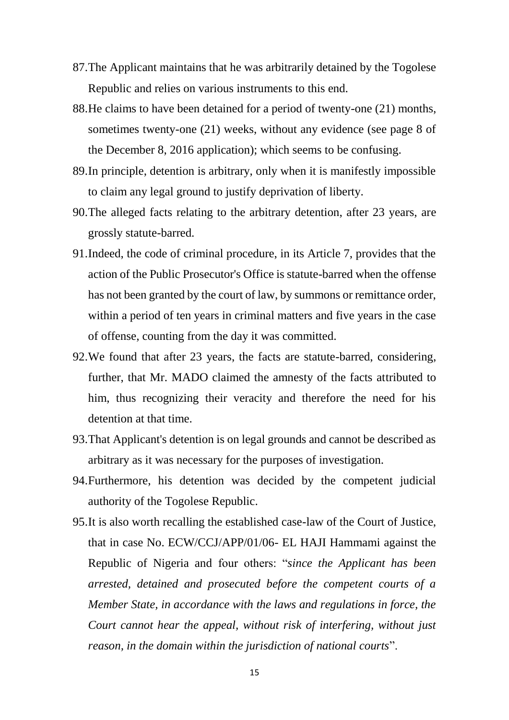- 87.The Applicant maintains that he was arbitrarily detained by the Togolese Republic and relies on various instruments to this end.
- 88.He claims to have been detained for a period of twenty-one (21) months, sometimes twenty-one (21) weeks, without any evidence (see page 8 of the December 8, 2016 application); which seems to be confusing.
- 89.In principle, detention is arbitrary, only when it is manifestly impossible to claim any legal ground to justify deprivation of liberty.
- 90.The alleged facts relating to the arbitrary detention, after 23 years, are grossly statute-barred.
- 91.Indeed, the code of criminal procedure, in its Article 7, provides that the action of the Public Prosecutor's Office is statute-barred when the offense has not been granted by the court of law, by summons or remittance order, within a period of ten years in criminal matters and five years in the case of offense, counting from the day it was committed.
- 92.We found that after 23 years, the facts are statute-barred, considering, further, that Mr. MADO claimed the amnesty of the facts attributed to him, thus recognizing their veracity and therefore the need for his detention at that time.
- 93.That Applicant's detention is on legal grounds and cannot be described as arbitrary as it was necessary for the purposes of investigation.
- 94.Furthermore, his detention was decided by the competent judicial authority of the Togolese Republic.
- 95.It is also worth recalling the established case-law of the Court of Justice, that in case No. ECW/CCJ/APP/01/06- EL HAJI Hammami against the Republic of Nigeria and four others: "*since the Applicant has been arrested, detained and prosecuted before the competent courts of a Member State, in accordance with the laws and regulations in force, the Court cannot hear the appeal, without risk of interfering, without just reason, in the domain within the jurisdiction of national courts*".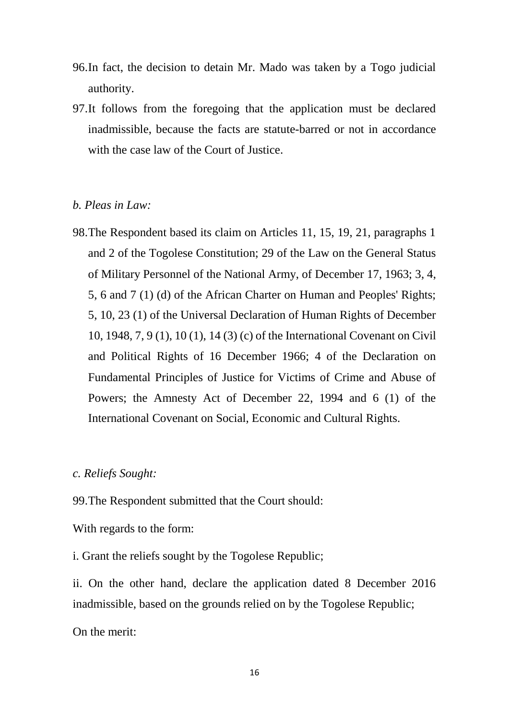- 96.In fact, the decision to detain Mr. Mado was taken by a Togo judicial authority.
- 97.It follows from the foregoing that the application must be declared inadmissible, because the facts are statute-barred or not in accordance with the case law of the Court of Justice.

#### *b. Pleas in Law:*

98.The Respondent based its claim on Articles 11, 15, 19, 21, paragraphs 1 and 2 of the Togolese Constitution; 29 of the Law on the General Status of Military Personnel of the National Army, of December 17, 1963; 3, 4, 5, 6 and 7 (1) (d) of the African Charter on Human and Peoples' Rights; 5, 10, 23 (1) of the Universal Declaration of Human Rights of December 10, 1948, 7, 9 (1), 10 (1), 14 (3) (c) of the International Covenant on Civil and Political Rights of 16 December 1966; 4 of the Declaration on Fundamental Principles of Justice for Victims of Crime and Abuse of Powers; the Amnesty Act of December 22, 1994 and 6 (1) of the International Covenant on Social, Economic and Cultural Rights.

#### *c. Reliefs Sought:*

99.The Respondent submitted that the Court should:

With regards to the form:

i. Grant the reliefs sought by the Togolese Republic;

ii. On the other hand, declare the application dated 8 December 2016 inadmissible, based on the grounds relied on by the Togolese Republic;

On the merit: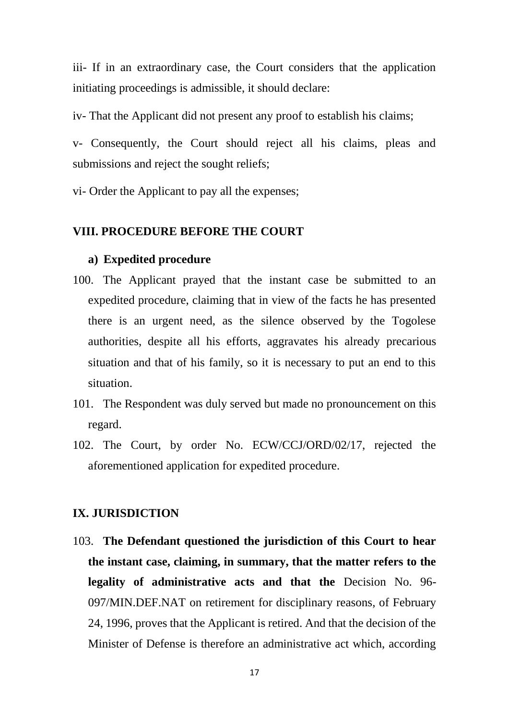iii- If in an extraordinary case, the Court considers that the application initiating proceedings is admissible, it should declare:

iv- That the Applicant did not present any proof to establish his claims;

v- Consequently, the Court should reject all his claims, pleas and submissions and reject the sought reliefs;

vi- Order the Applicant to pay all the expenses;

#### **VIII. PROCEDURE BEFORE THE COURT**

#### **a) Expedited procedure**

- 100. The Applicant prayed that the instant case be submitted to an expedited procedure, claiming that in view of the facts he has presented there is an urgent need, as the silence observed by the Togolese authorities, despite all his efforts, aggravates his already precarious situation and that of his family, so it is necessary to put an end to this situation.
- 101. The Respondent was duly served but made no pronouncement on this regard.
- 102. The Court, by order No. ECW/CCJ/ORD/02/17, rejected the aforementioned application for expedited procedure.

#### **IX. JURISDICTION**

103. **The Defendant questioned the jurisdiction of this Court to hear the instant case, claiming, in summary, that the matter refers to the legality of administrative acts and that the** Decision No. 96- 097/MIN.DEF.NAT on retirement for disciplinary reasons, of February 24, 1996, proves that the Applicant is retired. And that the decision of the Minister of Defense is therefore an administrative act which, according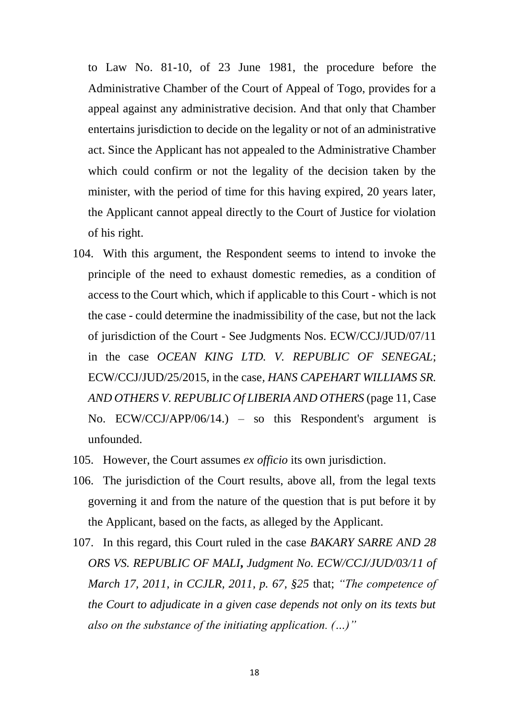to Law No. 81-10, of 23 June 1981, the procedure before the Administrative Chamber of the Court of Appeal of Togo, provides for a appeal against any administrative decision. And that only that Chamber entertains jurisdiction to decide on the legality or not of an administrative act. Since the Applicant has not appealed to the Administrative Chamber which could confirm or not the legality of the decision taken by the minister, with the period of time for this having expired, 20 years later, the Applicant cannot appeal directly to the Court of Justice for violation of his right.

- 104. With this argument, the Respondent seems to intend to invoke the principle of the need to exhaust domestic remedies, as a condition of access to the Court which, which if applicable to this Court - which is not the case - could determine the inadmissibility of the case, but not the lack of jurisdiction of the Court - See Judgments Nos. ECW/CCJ/JUD/07/11 in the case *OCEAN KING LTD. V. REPUBLIC OF SENEGAL*; ECW/CCJ/JUD/25/2015, in the case*, HANS CAPEHART WILLIAMS SR. AND OTHERS V. REPUBLIC Of LIBERIA AND OTHERS* (page 11, Case No. ECW/CCJ/APP/06/14.) – so this Respondent's argument is unfounded.
- 105. However, the Court assumes *ex officio* its own jurisdiction.
- 106. The jurisdiction of the Court results, above all, from the legal texts governing it and from the nature of the question that is put before it by the Applicant, based on the facts, as alleged by the Applicant.
- 107. In this regard, this Court ruled in the case *BAKARY SARRE AND 28 ORS VS. REPUBLIC OF MALI***,** *Judgment No. ECW/CCJ/JUD/03/11 of March 17, 2011, in CCJLR, 2011, p. 67, §25* that; *"The competence of the Court to adjudicate in a given case depends not only on its texts but also on the substance of the initiating application. (…)"*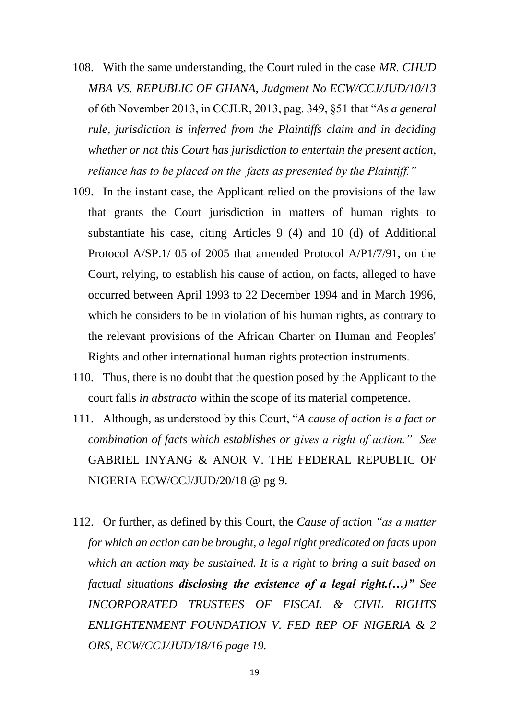- 108. With the same understanding, the Court ruled in the case *MR. CHUD MBA VS. REPUBLIC OF GHANA, Judgment No ECW/CCJ/JUD/10/13*  of 6th November 2013, in CCJLR, 2013, pag. 349, §51 that "*As a general rule, jurisdiction is inferred from the Plaintiffs claim and in deciding whether or not this Court has jurisdiction to entertain the present action, reliance has to be placed on the facts as presented by the Plaintiff."*
- 109. In the instant case, the Applicant relied on the provisions of the law that grants the Court jurisdiction in matters of human rights to substantiate his case, citing Articles 9 (4) and 10 (d) of Additional Protocol A/SP.1/ 05 of 2005 that amended Protocol A/P1/7/91, on the Court, relying, to establish his cause of action, on facts, alleged to have occurred between April 1993 to 22 December 1994 and in March 1996, which he considers to be in violation of his human rights, as contrary to the relevant provisions of the African Charter on Human and Peoples' Rights and other international human rights protection instruments.
- 110. Thus, there is no doubt that the question posed by the Applicant to the court falls *in abstracto* within the scope of its material competence.
- 111. Although*,* as understood by this Court, "*A cause of action is a fact or combination of facts which establishes or gives a right of action." See*  GABRIEL INYANG & ANOR V. THE FEDERAL REPUBLIC OF NIGERIA ECW/CCJ/JUD/20/18 @ pg 9.
- 112. Or further, as defined by this Court, the *Cause of action "as a matter for which an action can be brought, a legal right predicated on facts upon which an action may be sustained. It is a right to bring a suit based on factual situations disclosing the existence of a legal right.(…)" See INCORPORATED TRUSTEES OF FISCAL & CIVIL RIGHTS ENLIGHTENMENT FOUNDATION V. FED REP OF NIGERIA & 2 ORS, ECW/CCJ/JUD/18/16 page 19.*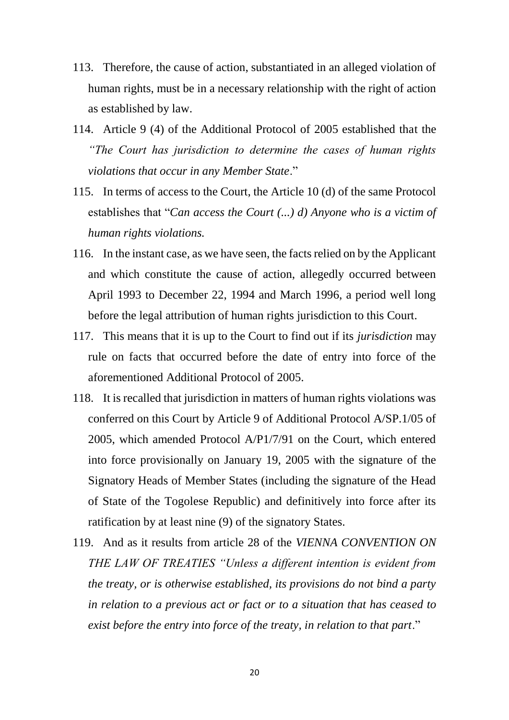- 113. Therefore, the cause of action, substantiated in an alleged violation of human rights, must be in a necessary relationship with the right of action as established by law.
- 114. Article 9 (4) of the Additional Protocol of 2005 established that the *"The Court has jurisdiction to determine the cases of human rights violations that occur in any Member State*."
- 115. In terms of access to the Court, the Article 10 (d) of the same Protocol establishes that "*Can access the Court (...) d) Anyone who is a victim of human rights violations.*
- 116. In the instant case, as we have seen, the facts relied on by the Applicant and which constitute the cause of action, allegedly occurred between April 1993 to December 22, 1994 and March 1996, a period well long before the legal attribution of human rights jurisdiction to this Court.
- 117. This means that it is up to the Court to find out if its *jurisdiction* may rule on facts that occurred before the date of entry into force of the aforementioned Additional Protocol of 2005.
- 118. It is recalled that jurisdiction in matters of human rights violations was conferred on this Court by Article 9 of Additional Protocol A/SP.1/05 of 2005, which amended Protocol A/P1/7/91 on the Court, which entered into force provisionally on January 19, 2005 with the signature of the Signatory Heads of Member States (including the signature of the Head of State of the Togolese Republic) and definitively into force after its ratification by at least nine (9) of the signatory States.
- 119. And as it results from article 28 of the *VIENNA CONVENTION ON THE LAW OF TREATIES "Unless a different intention is evident from the treaty, or is otherwise established, its provisions do not bind a party in relation to a previous act or fact or to a situation that has ceased to exist before the entry into force of the treaty, in relation to that part*."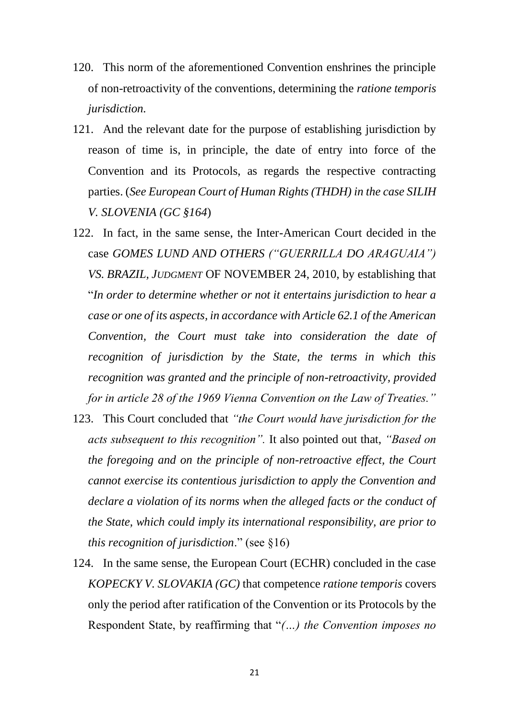- 120. This norm of the aforementioned Convention enshrines the principle of non-retroactivity of the conventions, determining the *ratione temporis jurisdiction.*
- 121. And the relevant date for the purpose of establishing jurisdiction by reason of time is, in principle, the date of entry into force of the Convention and its Protocols, as regards the respective contracting parties. (*See European Court of Human Rights (THDH) in the case SILIH V. SLOVENIA (GC §164*)
- 122. In fact, in the same sense, the Inter-American Court decided in the case *GOMES LUND AND OTHERS ("GUERRILLA DO ARAGUAIA") VS. BRAZIL, JUDGMENT* OF NOVEMBER 24, 2010, by establishing that "*In order to determine whether or not it entertains jurisdiction to hear a case or one of its aspects, in accordance with Article 62.1 of the American Convention, the Court must take into consideration the date of recognition of jurisdiction by the State, the terms in which this recognition was granted and the principle of non-retroactivity, provided for in article 28 of the 1969 Vienna Convention on the Law of Treaties."*
- 123. This Court concluded that *"the Court would have jurisdiction for the acts subsequent to this recognition".* It also pointed out that, *"Based on the foregoing and on the principle of non-retroactive effect, the Court cannot exercise its contentious jurisdiction to apply the Convention and declare a violation of its norms when the alleged facts or the conduct of the State, which could imply its international responsibility, are prior to this recognition of jurisdiction*." (see §16)
- 124. In the same sense, the European Court (ECHR) concluded in the case *KOPECKY V. SLOVAKIA (GC)* that competence *ratione temporis* covers only the period after ratification of the Convention or its Protocols by the Respondent State, by reaffirming that "*(…) the Convention imposes no*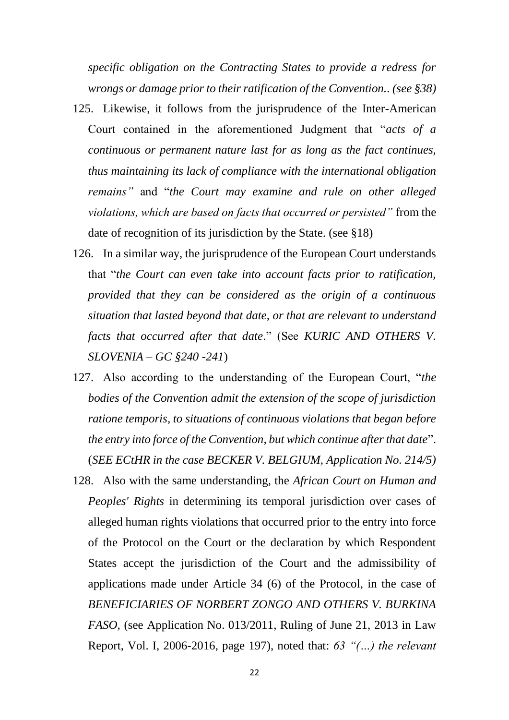*specific obligation on the Contracting States to provide a redress for wrongs or damage prior to their ratification of the Convention.. (see §38)*

- 125. Likewise, it follows from the jurisprudence of the Inter-American Court contained in the aforementioned Judgment that "*acts of a continuous or permanent nature last for as long as the fact continues, thus maintaining its lack of compliance with the international obligation remains"* and "*the Court may examine and rule on other alleged violations, which are based on facts that occurred or persisted"* from the date of recognition of its jurisdiction by the State. (see §18)
- 126. In a similar way, the jurisprudence of the European Court understands that "*the Court can even take into account facts prior to ratification, provided that they can be considered as the origin of a continuous situation that lasted beyond that date, or that are relevant to understand facts that occurred after that date*." (See *KURIC AND OTHERS V. SLOVENIA – GC §240 -241*)
- 127. Also according to the understanding of the European Court, "*the bodies of the Convention admit the extension of the scope of jurisdiction ratione temporis, to situations of continuous violations that began before the entry into force of the Convention, but which continue after that date*". (*SEE ECtHR in the case BECKER V. BELGIUM, Application No. 214/5)*
- 128. Also with the same understanding, the *African Court on Human and Peoples' Rights* in determining its temporal jurisdiction over cases of alleged human rights violations that occurred prior to the entry into force of the Protocol on the Court or the declaration by which Respondent States accept the jurisdiction of the Court and the admissibility of applications made under Article 34 (6) of the Protocol, in the case of *BENEFICIARIES OF NORBERT ZONGO AND OTHERS V. BURKINA FASO*, (see Application No. 013/2011, Ruling of June 21, 2013 in Law Report, Vol. I, 2006-2016, page 197), noted that: *63 "(…) the relevant*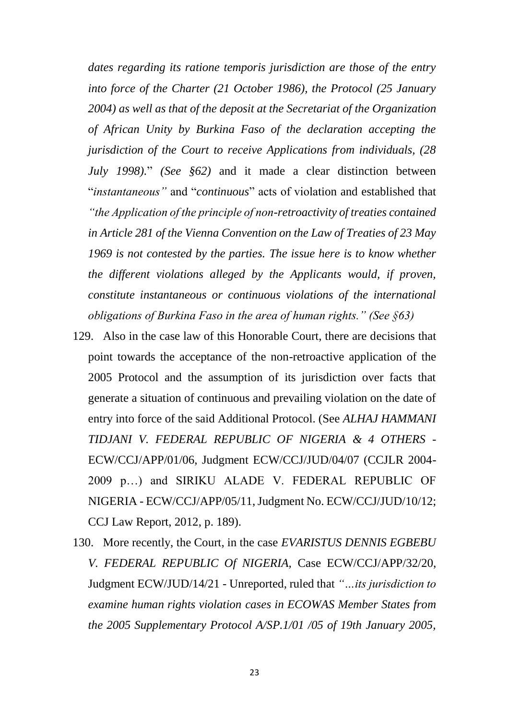*dates regarding its ratione temporis jurisdiction are those of the entry into force of the Charter (21 October 1986), the Protocol (25 January 2004) as well as that of the deposit at the Secretariat of the Organization of African Unity by Burkina Faso of the declaration accepting the jurisdiction of the Court to receive Applications from individuals, (28 July 1998).*" *(See §62)* and it made a clear distinction between "*instantaneous"* and "*continuous*" acts of violation and established that *"the Application of the principle of non-retroactivity of treaties contained in Article 281 of the Vienna Convention on the Law of Treaties of 23 May 1969 is not contested by the parties. The issue here is to know whether the different violations alleged by the Applicants would, if proven, constitute instantaneous or continuous violations of the international obligations of Burkina Faso in the area of human rights." (See §63)*

- 129. Also in the case law of this Honorable Court, there are decisions that point towards the acceptance of the non-retroactive application of the 2005 Protocol and the assumption of its jurisdiction over facts that generate a situation of continuous and prevailing violation on the date of entry into force of the said Additional Protocol. (See *ALHAJ HAMMANI TIDJANI V. FEDERAL REPUBLIC OF NIGERIA & 4 OTHERS* - ECW/CCJ/APP/01/06, Judgment ECW/CCJ/JUD/04/07 (CCJLR 2004- 2009 p…) and SIRIKU ALADE V. FEDERAL REPUBLIC OF NIGERIA - ECW/CCJ/APP/05/11, Judgment No. ECW/CCJ/JUD/10/12; CCJ Law Report, 2012, p. 189).
- 130. More recently, the Court, in the case *EVARISTUS DENNIS EGBEBU V. FEDERAL REPUBLIC Of NIGERIA,* Case ECW/CCJ/APP/32/20, Judgment ECW/JUD/14/21 - Unreported, ruled that *"…its jurisdiction to examine human rights violation cases in ECOWAS Member States from the 2005 Supplementary Protocol A/SP.1/01 /05 of 19th January 2005,*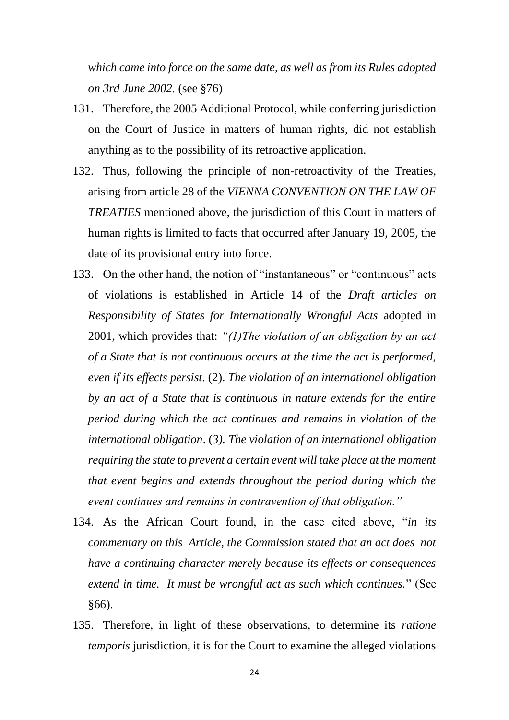*which came into force on the same date, as well as from its Rules adopted on 3rd June 2002.* (see §76)

- 131. Therefore, the 2005 Additional Protocol, while conferring jurisdiction on the Court of Justice in matters of human rights, did not establish anything as to the possibility of its retroactive application.
- 132. Thus, following the principle of non-retroactivity of the Treaties, arising from article 28 of the *VIENNA CONVENTION ON THE LAW OF TREATIES* mentioned above, the jurisdiction of this Court in matters of human rights is limited to facts that occurred after January 19, 2005, the date of its provisional entry into force.
- 133. On the other hand, the notion of "instantaneous" or "continuous" acts of violations is established in Article 14 of the *Draft articles on Responsibility of States for Internationally Wrongful Acts* adopted in 2001, which provides that: *"(1)The violation of an obligation by an act of a State that is not continuous occurs at the time the act is performed, even if its effects persist*. (2). *The violation of an international obligation by an act of a State that is continuous in nature extends for the entire period during which the act continues and remains in violation of the international obligation*. (*3). The violation of an international obligation requiring the state to prevent a certain event will take place at the moment that event begins and extends throughout the period during which the event continues and remains in contravention of that obligation."*
- 134. As the African Court found, in the case cited above, "*in its commentary on this Article, the Commission stated that an act does not have a continuing character merely because its effects or consequences extend in time. It must be wrongful act as such which continues.*" (See §66).
- 135. Therefore, in light of these observations, to determine its *ratione temporis* jurisdiction, it is for the Court to examine the alleged violations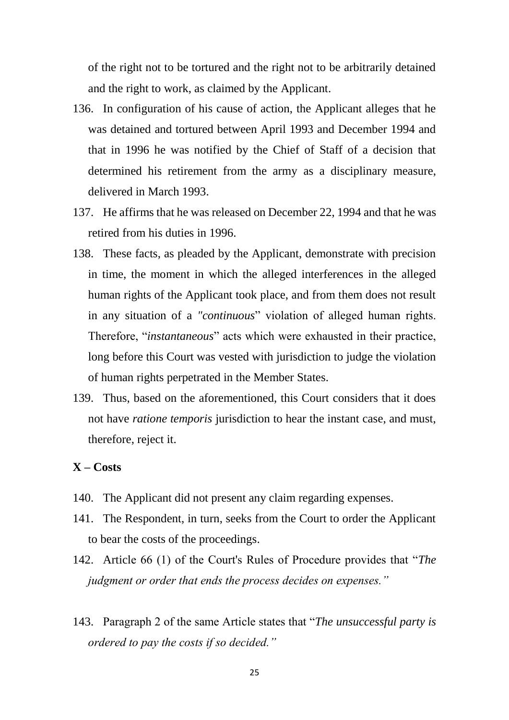of the right not to be tortured and the right not to be arbitrarily detained and the right to work, as claimed by the Applicant.

- 136. In configuration of his cause of action, the Applicant alleges that he was detained and tortured between April 1993 and December 1994 and that in 1996 he was notified by the Chief of Staff of a decision that determined his retirement from the army as a disciplinary measure, delivered in March 1993.
- 137. He affirms that he was released on December 22, 1994 and that he was retired from his duties in 1996.
- 138. These facts, as pleaded by the Applicant, demonstrate with precision in time, the moment in which the alleged interferences in the alleged human rights of the Applicant took place, and from them does not result in any situation of a *"continuous*" violation of alleged human rights. Therefore, "*instantaneous*" acts which were exhausted in their practice, long before this Court was vested with jurisdiction to judge the violation of human rights perpetrated in the Member States.
- 139. Thus, based on the aforementioned, this Court considers that it does not have *ratione temporis* jurisdiction to hear the instant case, and must, therefore, reject it.

#### **X – Costs**

- 140. The Applicant did not present any claim regarding expenses.
- 141. The Respondent, in turn, seeks from the Court to order the Applicant to bear the costs of the proceedings.
- 142. Article 66 (1) of the Court's Rules of Procedure provides that "*The judgment or order that ends the process decides on expenses."*
- 143. Paragraph 2 of the same Article states that "*The unsuccessful party is ordered to pay the costs if so decided."*